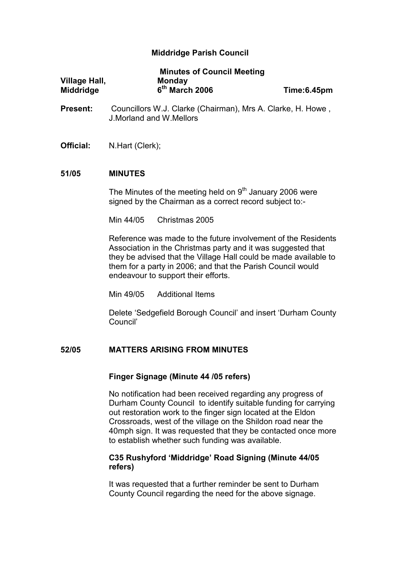# Middridge Parish Council

|               | <b>Minutes of Council Meeting</b> |             |
|---------------|-----------------------------------|-------------|
| Village Hall, | <b>Monday</b>                     |             |
| Middridge     | $6th$ March 2006                  | Time:6.45pm |

- Present: Councillors W.J. Clarke (Chairman), Mrs A. Clarke, H. Howe, J.Morland and W.Mellors
- Official: N.Hart (Clerk);

#### 51/05 MINUTES

The Minutes of the meeting held on  $9<sup>th</sup>$  January 2006 were signed by the Chairman as a correct record subject to:-

Min 44/05 Christmas 2005

 Reference was made to the future involvement of the Residents Association in the Christmas party and it was suggested that they be advised that the Village Hall could be made available to them for a party in 2006; and that the Parish Council would endeavour to support their efforts.

Min 49/05 Additional Items

 Delete 'Sedgefield Borough Council' and insert 'Durham County Council'

# 52/05 MATTERS ARISING FROM MINUTES

#### Finger Signage (Minute 44 /05 refers)

No notification had been received regarding any progress of Durham County Council to identify suitable funding for carrying out restoration work to the finger sign located at the Eldon Crossroads, west of the village on the Shildon road near the 40mph sign. It was requested that they be contacted once more to establish whether such funding was available.

## C35 Rushyford 'Middridge' Road Signing (Minute 44/05 refers)

It was requested that a further reminder be sent to Durham County Council regarding the need for the above signage.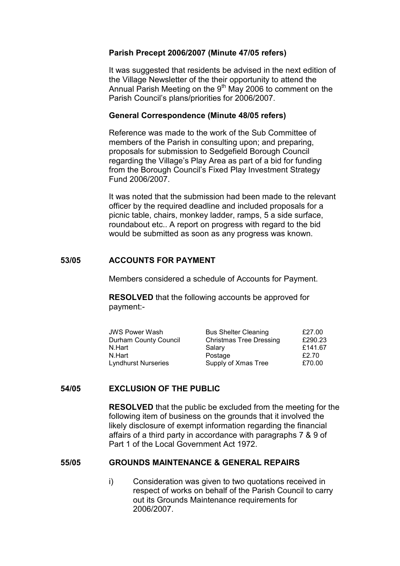# Parish Precept 2006/2007 (Minute 47/05 refers)

It was suggested that residents be advised in the next edition of the Village Newsletter of the their opportunity to attend the Annual Parish Meeting on the  $9<sup>th</sup>$  May 2006 to comment on the Parish Council's plans/priorities for 2006/2007.

## General Correspondence (Minute 48/05 refers)

Reference was made to the work of the Sub Committee of members of the Parish in consulting upon; and preparing, proposals for submission to Sedgefield Borough Council regarding the Village's Play Area as part of a bid for funding from the Borough Council's Fixed Play Investment Strategy Fund 2006/2007.

It was noted that the submission had been made to the relevant officer by the required deadline and included proposals for a picnic table, chairs, monkey ladder, ramps, 5 a side surface, roundabout etc.. A report on progress with regard to the bid would be submitted as soon as any progress was known.

## 53/05 ACCOUNTS FOR PAYMENT

Members considered a schedule of Accounts for Payment.

 RESOLVED that the following accounts be approved for payment:-

| <b>JWS Power Wash</b>      | <b>Bus Shelter Cleaning</b>    | £27.00  |
|----------------------------|--------------------------------|---------|
| Durham County Council      | <b>Christmas Tree Dressing</b> | £290.23 |
| N.Hart                     | Salary                         | £141.67 |
| N.Hart                     | Postage                        | £2.70   |
| <b>Lyndhurst Nurseries</b> | Supply of Xmas Tree            | £70.00  |

### 54/05 EXCLUSION OF THE PUBLIC

RESOLVED that the public be excluded from the meeting for the following item of business on the grounds that it involved the likely disclosure of exempt information regarding the financial affairs of a third party in accordance with paragraphs 7 & 9 of Part 1 of the Local Government Act 1972.

## 55/05 GROUNDS MAINTENANCE & GENERAL REPAIRS

i) Consideration was given to two quotations received in respect of works on behalf of the Parish Council to carry out its Grounds Maintenance requirements for 2006/2007.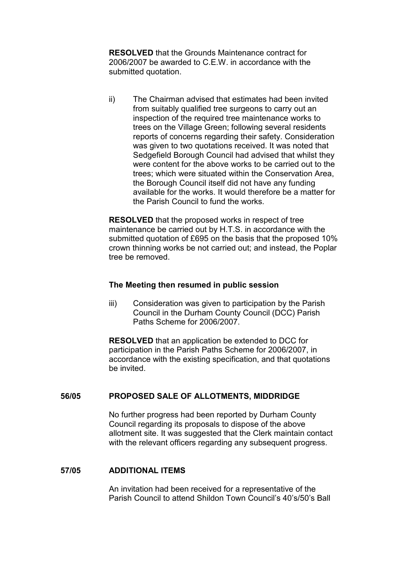RESOLVED that the Grounds Maintenance contract for 2006/2007 be awarded to C.E.W. in accordance with the submitted quotation.

ii) The Chairman advised that estimates had been invited from suitably qualified tree surgeons to carry out an inspection of the required tree maintenance works to trees on the Village Green; following several residents reports of concerns regarding their safety. Consideration was given to two quotations received. It was noted that Sedgefield Borough Council had advised that whilst they were content for the above works to be carried out to the trees; which were situated within the Conservation Area, the Borough Council itself did not have any funding available for the works. It would therefore be a matter for the Parish Council to fund the works.

RESOLVED that the proposed works in respect of tree maintenance be carried out by H.T.S. in accordance with the submitted quotation of £695 on the basis that the proposed 10% crown thinning works be not carried out; and instead, the Poplar tree be removed.

### The Meeting then resumed in public session

iii) Consideration was given to participation by the Parish Council in the Durham County Council (DCC) Parish Paths Scheme for 2006/2007.

RESOLVED that an application be extended to DCC for participation in the Parish Paths Scheme for 2006/2007, in accordance with the existing specification, and that quotations be invited.

### 56/05 PROPOSED SALE OF ALLOTMENTS, MIDDRIDGE

No further progress had been reported by Durham County Council regarding its proposals to dispose of the above allotment site. It was suggested that the Clerk maintain contact with the relevant officers regarding any subsequent progress.

#### 57/05 ADDITIONAL ITEMS

An invitation had been received for a representative of the Parish Council to attend Shildon Town Council's 40's/50's Ball